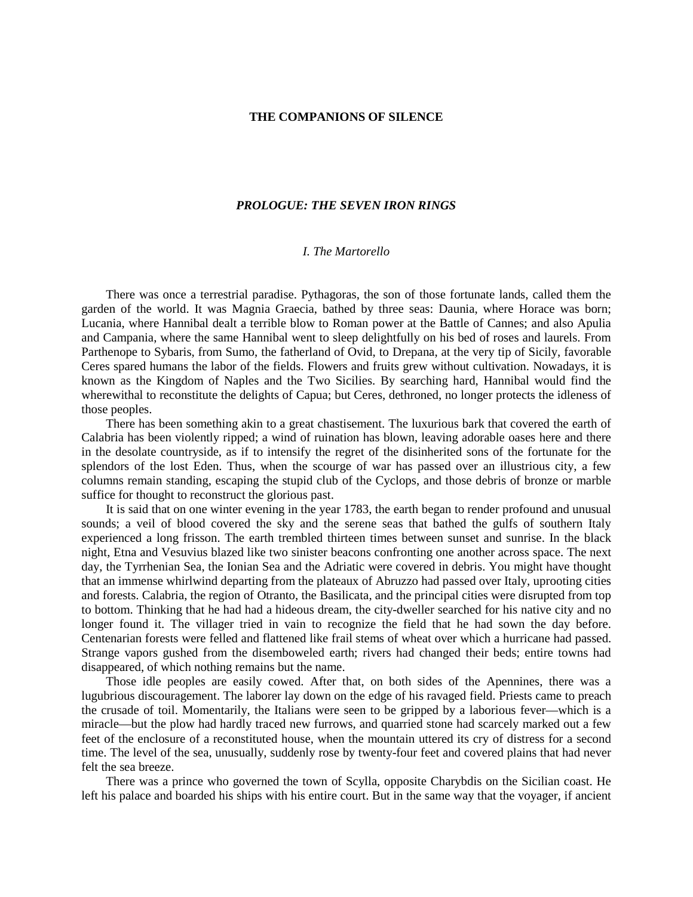## **THE COMPANIONS OF SILENCE**

## *PROLOGUE: THE SEVEN IRON RINGS*

## *I. The Martorello*

There was once a terrestrial paradise. Pythagoras, the son of those fortunate lands, called them the garden of the world. It was Magnia Graecia, bathed by three seas: Daunia, where Horace was born; Lucania, where Hannibal dealt a terrible blow to Roman power at the Battle of Cannes; and also Apulia and Campania, where the same Hannibal went to sleep delightfully on his bed of roses and laurels. From Parthenope to Sybaris, from Sumo, the fatherland of Ovid, to Drepana, at the very tip of Sicily, favorable Ceres spared humans the labor of the fields. Flowers and fruits grew without cultivation. Nowadays, it is known as the Kingdom of Naples and the Two Sicilies. By searching hard, Hannibal would find the wherewithal to reconstitute the delights of Capua; but Ceres, dethroned, no longer protects the idleness of those peoples.

There has been something akin to a great chastisement. The luxurious bark that covered the earth of Calabria has been violently ripped; a wind of ruination has blown, leaving adorable oases here and there in the desolate countryside, as if to intensify the regret of the disinherited sons of the fortunate for the splendors of the lost Eden. Thus, when the scourge of war has passed over an illustrious city, a few columns remain standing, escaping the stupid club of the Cyclops, and those debris of bronze or marble suffice for thought to reconstruct the glorious past.

It is said that on one winter evening in the year 1783, the earth began to render profound and unusual sounds; a veil of blood covered the sky and the serene seas that bathed the gulfs of southern Italy experienced a long frisson. The earth trembled thirteen times between sunset and sunrise. In the black night, Etna and Vesuvius blazed like two sinister beacons confronting one another across space. The next day, the Tyrrhenian Sea, the Ionian Sea and the Adriatic were covered in debris. You might have thought that an immense whirlwind departing from the plateaux of Abruzzo had passed over Italy, uprooting cities and forests. Calabria, the region of Otranto, the Basilicata, and the principal cities were disrupted from top to bottom. Thinking that he had had a hideous dream, the city-dweller searched for his native city and no longer found it. The villager tried in vain to recognize the field that he had sown the day before. Centenarian forests were felled and flattened like frail stems of wheat over which a hurricane had passed. Strange vapors gushed from the disemboweled earth; rivers had changed their beds; entire towns had disappeared, of which nothing remains but the name.

Those idle peoples are easily cowed. After that, on both sides of the Apennines, there was a lugubrious discouragement. The laborer lay down on the edge of his ravaged field. Priests came to preach the crusade of toil. Momentarily, the Italians were seen to be gripped by a laborious fever—which is a miracle—but the plow had hardly traced new furrows, and quarried stone had scarcely marked out a few feet of the enclosure of a reconstituted house, when the mountain uttered its cry of distress for a second time. The level of the sea, unusually, suddenly rose by twenty-four feet and covered plains that had never felt the sea breeze.

There was a prince who governed the town of Scylla, opposite Charybdis on the Sicilian coast. He left his palace and boarded his ships with his entire court. But in the same way that the voyager, if ancient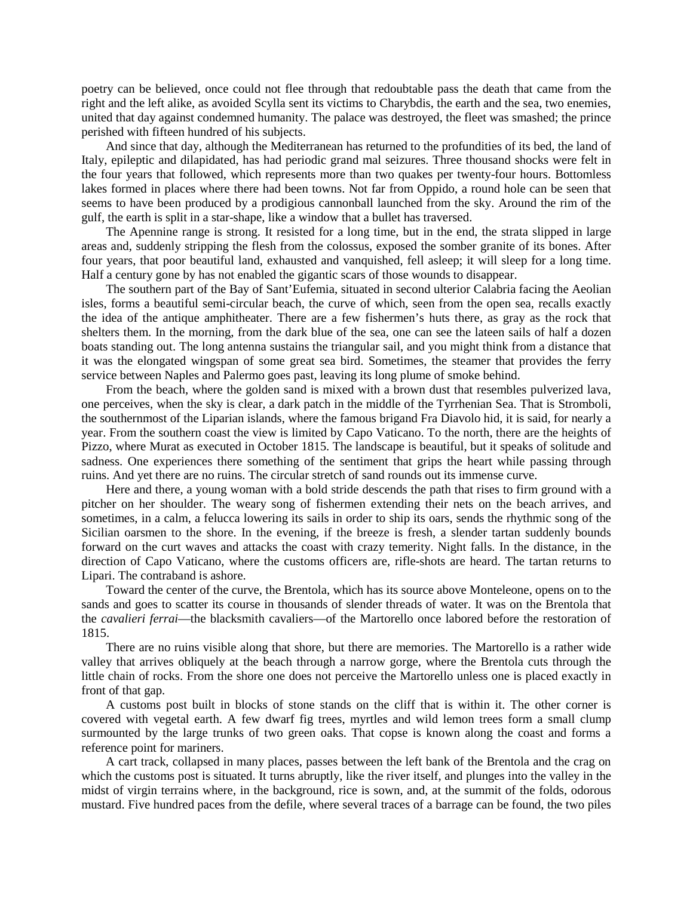poetry can be believed, once could not flee through that redoubtable pass the death that came from the right and the left alike, as avoided Scylla sent its victims to Charybdis, the earth and the sea, two enemies, united that day against condemned humanity. The palace was destroyed, the fleet was smashed; the prince perished with fifteen hundred of his subjects.

And since that day, although the Mediterranean has returned to the profundities of its bed, the land of Italy, epileptic and dilapidated, has had periodic grand mal seizures. Three thousand shocks were felt in the four years that followed, which represents more than two quakes per twenty-four hours. Bottomless lakes formed in places where there had been towns. Not far from Oppido, a round hole can be seen that seems to have been produced by a prodigious cannonball launched from the sky. Around the rim of the gulf, the earth is split in a star-shape, like a window that a bullet has traversed.

The Apennine range is strong. It resisted for a long time, but in the end, the strata slipped in large areas and, suddenly stripping the flesh from the colossus, exposed the somber granite of its bones. After four years, that poor beautiful land, exhausted and vanquished, fell asleep; it will sleep for a long time. Half a century gone by has not enabled the gigantic scars of those wounds to disappear.

The southern part of the Bay of Sant'Eufemia, situated in second ulterior Calabria facing the Aeolian isles, forms a beautiful semi-circular beach, the curve of which, seen from the open sea, recalls exactly the idea of the antique amphitheater. There are a few fishermen's huts there, as gray as the rock that shelters them. In the morning, from the dark blue of the sea, one can see the lateen sails of half a dozen boats standing out. The long antenna sustains the triangular sail, and you might think from a distance that it was the elongated wingspan of some great sea bird. Sometimes, the steamer that provides the ferry service between Naples and Palermo goes past, leaving its long plume of smoke behind.

From the beach, where the golden sand is mixed with a brown dust that resembles pulverized lava, one perceives, when the sky is clear, a dark patch in the middle of the Tyrrhenian Sea. That is Stromboli, the southernmost of the Liparian islands, where the famous brigand Fra Diavolo hid, it is said, for nearly a year. From the southern coast the view is limited by Capo Vaticano. To the north, there are the heights of Pizzo, where Murat as executed in October 1815. The landscape is beautiful, but it speaks of solitude and sadness. One experiences there something of the sentiment that grips the heart while passing through ruins. And yet there are no ruins. The circular stretch of sand rounds out its immense curve.

Here and there, a young woman with a bold stride descends the path that rises to firm ground with a pitcher on her shoulder. The weary song of fishermen extending their nets on the beach arrives, and sometimes, in a calm, a felucca lowering its sails in order to ship its oars, sends the rhythmic song of the Sicilian oarsmen to the shore. In the evening, if the breeze is fresh, a slender tartan suddenly bounds forward on the curt waves and attacks the coast with crazy temerity. Night falls. In the distance, in the direction of Capo Vaticano, where the customs officers are, rifle-shots are heard. The tartan returns to Lipari. The contraband is ashore.

Toward the center of the curve, the Brentola, which has its source above Monteleone, opens on to the sands and goes to scatter its course in thousands of slender threads of water. It was on the Brentola that the *cavalieri ferrai*—the blacksmith cavaliers—of the Martorello once labored before the restoration of 1815.

There are no ruins visible along that shore, but there are memories. The Martorello is a rather wide valley that arrives obliquely at the beach through a narrow gorge, where the Brentola cuts through the little chain of rocks. From the shore one does not perceive the Martorello unless one is placed exactly in front of that gap.

A customs post built in blocks of stone stands on the cliff that is within it. The other corner is covered with vegetal earth. A few dwarf fig trees, myrtles and wild lemon trees form a small clump surmounted by the large trunks of two green oaks. That copse is known along the coast and forms a reference point for mariners.

A cart track, collapsed in many places, passes between the left bank of the Brentola and the crag on which the customs post is situated. It turns abruptly, like the river itself, and plunges into the valley in the midst of virgin terrains where, in the background, rice is sown, and, at the summit of the folds, odorous mustard. Five hundred paces from the defile, where several traces of a barrage can be found, the two piles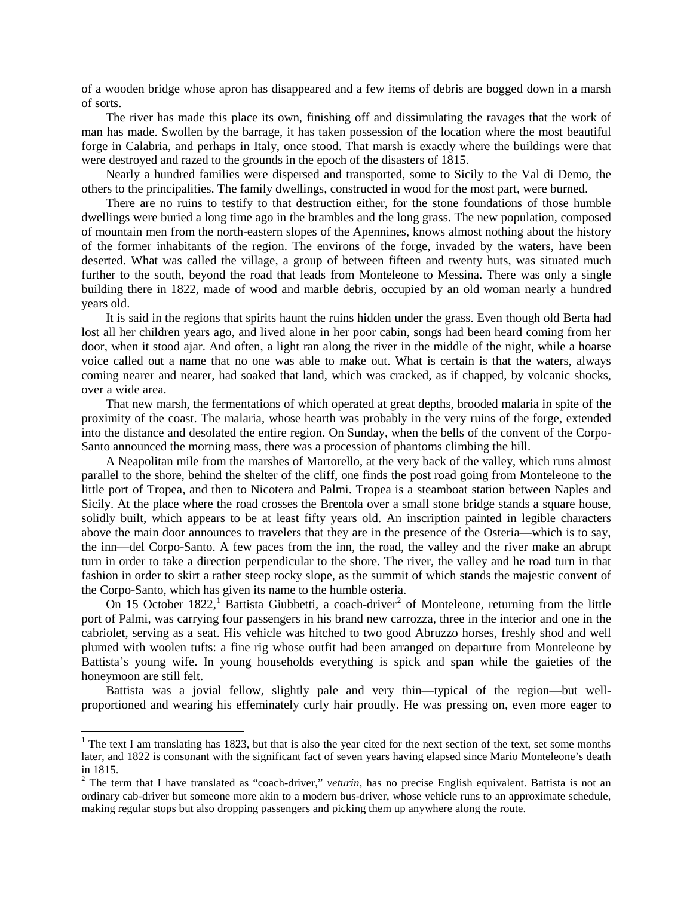of a wooden bridge whose apron has disappeared and a few items of debris are bogged down in a marsh of sorts.

The river has made this place its own, finishing off and dissimulating the ravages that the work of man has made. Swollen by the barrage, it has taken possession of the location where the most beautiful forge in Calabria, and perhaps in Italy, once stood. That marsh is exactly where the buildings were that were destroyed and razed to the grounds in the epoch of the disasters of 1815.

Nearly a hundred families were dispersed and transported, some to Sicily to the Val di Demo, the others to the principalities. The family dwellings, constructed in wood for the most part, were burned.

There are no ruins to testify to that destruction either, for the stone foundations of those humble dwellings were buried a long time ago in the brambles and the long grass. The new population, composed of mountain men from the north-eastern slopes of the Apennines, knows almost nothing about the history of the former inhabitants of the region. The environs of the forge, invaded by the waters, have been deserted. What was called the village, a group of between fifteen and twenty huts, was situated much further to the south, beyond the road that leads from Monteleone to Messina. There was only a single building there in 1822, made of wood and marble debris, occupied by an old woman nearly a hundred years old.

It is said in the regions that spirits haunt the ruins hidden under the grass. Even though old Berta had lost all her children years ago, and lived alone in her poor cabin, songs had been heard coming from her door, when it stood ajar. And often, a light ran along the river in the middle of the night, while a hoarse voice called out a name that no one was able to make out. What is certain is that the waters, always coming nearer and nearer, had soaked that land, which was cracked, as if chapped, by volcanic shocks, over a wide area.

That new marsh, the fermentations of which operated at great depths, brooded malaria in spite of the proximity of the coast. The malaria, whose hearth was probably in the very ruins of the forge, extended into the distance and desolated the entire region. On Sunday, when the bells of the convent of the Corpo-Santo announced the morning mass, there was a procession of phantoms climbing the hill.

A Neapolitan mile from the marshes of Martorello, at the very back of the valley, which runs almost parallel to the shore, behind the shelter of the cliff, one finds the post road going from Monteleone to the little port of Tropea, and then to Nicotera and Palmi. Tropea is a steamboat station between Naples and Sicily. At the place where the road crosses the Brentola over a small stone bridge stands a square house, solidly built, which appears to be at least fifty years old. An inscription painted in legible characters above the main door announces to travelers that they are in the presence of the Osteria—which is to say, the inn—del Corpo-Santo. A few paces from the inn, the road, the valley and the river make an abrupt turn in order to take a direction perpendicular to the shore. The river, the valley and he road turn in that fashion in order to skirt a rather steep rocky slope, as the summit of which stands the majestic convent of the Corpo-Santo, which has given its name to the humble osteria.

On [1](#page-2-0)5 October 18[2](#page-2-1)2,<sup>1</sup> Battista Giubbetti, a coach-driver<sup>2</sup> of Monteleone, returning from the little port of Palmi, was carrying four passengers in his brand new carrozza, three in the interior and one in the cabriolet, serving as a seat. His vehicle was hitched to two good Abruzzo horses, freshly shod and well plumed with woolen tufts: a fine rig whose outfit had been arranged on departure from Monteleone by Battista's young wife. In young households everything is spick and span while the gaieties of the honeymoon are still felt.

Battista was a jovial fellow, slightly pale and very thin—typical of the region—but wellproportioned and wearing his effeminately curly hair proudly. He was pressing on, even more eager to

<span id="page-2-0"></span><sup>&</sup>lt;sup>1</sup> The text I am translating has 1823, but that is also the year cited for the next section of the text, set some months later, and 1822 is consonant with the significant fact of seven years having elapsed since Mario Monteleone's death

<span id="page-2-1"></span><sup>&</sup>lt;sup>2</sup> The term that I have translated as "coach-driver," *veturin*, has no precise English equivalent. Battista is not an ordinary cab-driver but someone more akin to a modern bus-driver, whose vehicle runs to an approximate schedule, making regular stops but also dropping passengers and picking them up anywhere along the route.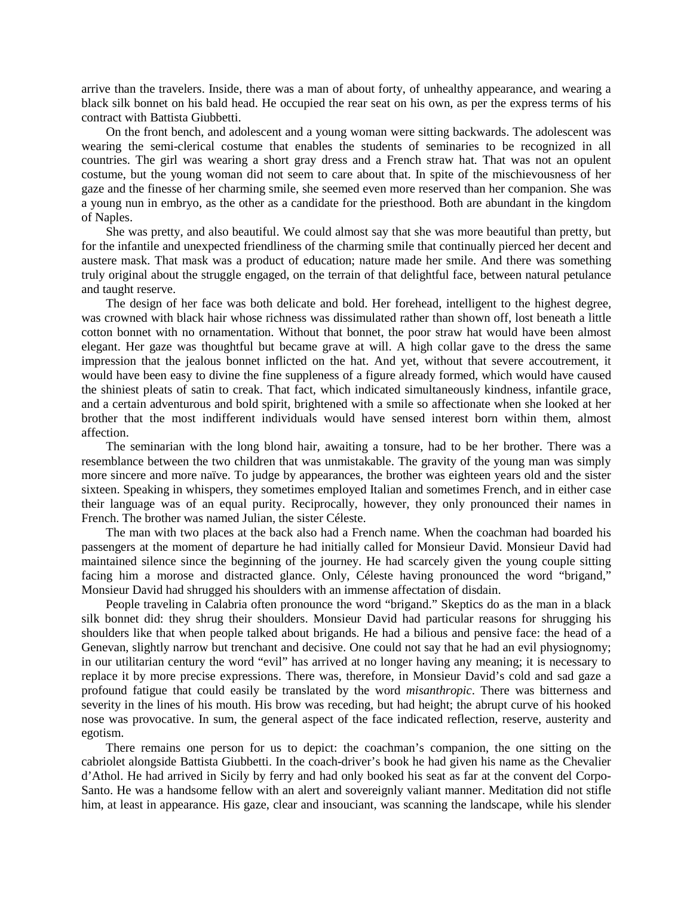arrive than the travelers. Inside, there was a man of about forty, of unhealthy appearance, and wearing a black silk bonnet on his bald head. He occupied the rear seat on his own, as per the express terms of his contract with Battista Giubbetti.

On the front bench, and adolescent and a young woman were sitting backwards. The adolescent was wearing the semi-clerical costume that enables the students of seminaries to be recognized in all countries. The girl was wearing a short gray dress and a French straw hat. That was not an opulent costume, but the young woman did not seem to care about that. In spite of the mischievousness of her gaze and the finesse of her charming smile, she seemed even more reserved than her companion. She was a young nun in embryo, as the other as a candidate for the priesthood. Both are abundant in the kingdom of Naples.

She was pretty, and also beautiful. We could almost say that she was more beautiful than pretty, but for the infantile and unexpected friendliness of the charming smile that continually pierced her decent and austere mask. That mask was a product of education; nature made her smile. And there was something truly original about the struggle engaged, on the terrain of that delightful face, between natural petulance and taught reserve.

The design of her face was both delicate and bold. Her forehead, intelligent to the highest degree, was crowned with black hair whose richness was dissimulated rather than shown off, lost beneath a little cotton bonnet with no ornamentation. Without that bonnet, the poor straw hat would have been almost elegant. Her gaze was thoughtful but became grave at will. A high collar gave to the dress the same impression that the jealous bonnet inflicted on the hat. And yet, without that severe accoutrement, it would have been easy to divine the fine suppleness of a figure already formed, which would have caused the shiniest pleats of satin to creak. That fact, which indicated simultaneously kindness, infantile grace, and a certain adventurous and bold spirit, brightened with a smile so affectionate when she looked at her brother that the most indifferent individuals would have sensed interest born within them, almost affection.

The seminarian with the long blond hair, awaiting a tonsure, had to be her brother. There was a resemblance between the two children that was unmistakable. The gravity of the young man was simply more sincere and more naïve. To judge by appearances, the brother was eighteen years old and the sister sixteen. Speaking in whispers, they sometimes employed Italian and sometimes French, and in either case their language was of an equal purity. Reciprocally, however, they only pronounced their names in French. The brother was named Julian, the sister Céleste.

The man with two places at the back also had a French name. When the coachman had boarded his passengers at the moment of departure he had initially called for Monsieur David. Monsieur David had maintained silence since the beginning of the journey. He had scarcely given the young couple sitting facing him a morose and distracted glance. Only, Céleste having pronounced the word "brigand," Monsieur David had shrugged his shoulders with an immense affectation of disdain.

People traveling in Calabria often pronounce the word "brigand." Skeptics do as the man in a black silk bonnet did: they shrug their shoulders. Monsieur David had particular reasons for shrugging his shoulders like that when people talked about brigands. He had a bilious and pensive face: the head of a Genevan, slightly narrow but trenchant and decisive. One could not say that he had an evil physiognomy; in our utilitarian century the word "evil" has arrived at no longer having any meaning; it is necessary to replace it by more precise expressions. There was, therefore, in Monsieur David's cold and sad gaze a profound fatigue that could easily be translated by the word *misanthropic*. There was bitterness and severity in the lines of his mouth. His brow was receding, but had height; the abrupt curve of his hooked nose was provocative. In sum, the general aspect of the face indicated reflection, reserve, austerity and egotism.

There remains one person for us to depict: the coachman's companion, the one sitting on the cabriolet alongside Battista Giubbetti. In the coach-driver's book he had given his name as the Chevalier d'Athol. He had arrived in Sicily by ferry and had only booked his seat as far at the convent del Corpo-Santo. He was a handsome fellow with an alert and sovereignly valiant manner. Meditation did not stifle him, at least in appearance. His gaze, clear and insouciant, was scanning the landscape, while his slender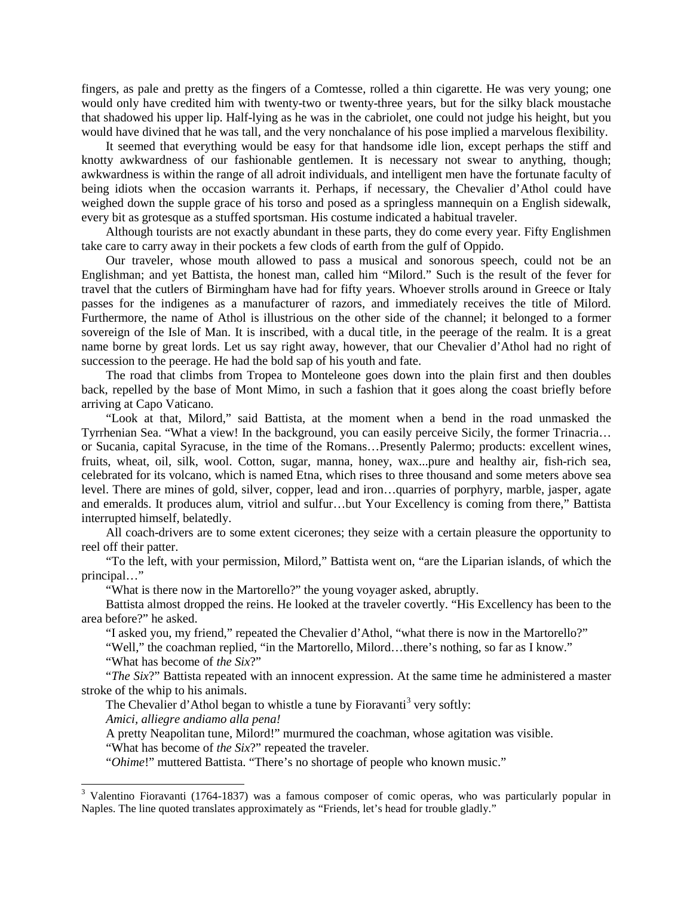fingers, as pale and pretty as the fingers of a Comtesse, rolled a thin cigarette. He was very young; one would only have credited him with twenty-two or twenty-three years, but for the silky black moustache that shadowed his upper lip. Half-lying as he was in the cabriolet, one could not judge his height, but you would have divined that he was tall, and the very nonchalance of his pose implied a marvelous flexibility.

It seemed that everything would be easy for that handsome idle lion, except perhaps the stiff and knotty awkwardness of our fashionable gentlemen. It is necessary not swear to anything, though; awkwardness is within the range of all adroit individuals, and intelligent men have the fortunate faculty of being idiots when the occasion warrants it. Perhaps, if necessary, the Chevalier d'Athol could have weighed down the supple grace of his torso and posed as a springless mannequin on a English sidewalk, every bit as grotesque as a stuffed sportsman. His costume indicated a habitual traveler.

Although tourists are not exactly abundant in these parts, they do come every year. Fifty Englishmen take care to carry away in their pockets a few clods of earth from the gulf of Oppido.

Our traveler, whose mouth allowed to pass a musical and sonorous speech, could not be an Englishman; and yet Battista, the honest man, called him "Milord." Such is the result of the fever for travel that the cutlers of Birmingham have had for fifty years. Whoever strolls around in Greece or Italy passes for the indigenes as a manufacturer of razors, and immediately receives the title of Milord. Furthermore, the name of Athol is illustrious on the other side of the channel; it belonged to a former sovereign of the Isle of Man. It is inscribed, with a ducal title, in the peerage of the realm. It is a great name borne by great lords. Let us say right away, however, that our Chevalier d'Athol had no right of succession to the peerage. He had the bold sap of his youth and fate.

The road that climbs from Tropea to Monteleone goes down into the plain first and then doubles back, repelled by the base of Mont Mimo, in such a fashion that it goes along the coast briefly before arriving at Capo Vaticano.

"Look at that, Milord," said Battista, at the moment when a bend in the road unmasked the Tyrrhenian Sea. "What a view! In the background, you can easily perceive Sicily, the former Trinacria… or Sucania, capital Syracuse, in the time of the Romans…Presently Palermo; products: excellent wines, fruits, wheat, oil, silk, wool. Cotton, sugar, manna, honey, wax...pure and healthy air, fish-rich sea, celebrated for its volcano, which is named Etna, which rises to three thousand and some meters above sea level. There are mines of gold, silver, copper, lead and iron…quarries of porphyry, marble, jasper, agate and emeralds. It produces alum, vitriol and sulfur…but Your Excellency is coming from there," Battista interrupted himself, belatedly.

All coach-drivers are to some extent cicerones; they seize with a certain pleasure the opportunity to reel off their patter.

"To the left, with your permission, Milord," Battista went on, "are the Liparian islands, of which the principal…"

"What is there now in the Martorello?" the young voyager asked, abruptly.

Battista almost dropped the reins. He looked at the traveler covertly. "His Excellency has been to the area before?" he asked.

"I asked you, my friend," repeated the Chevalier d'Athol, "what there is now in the Martorello?"

"Well," the coachman replied, "in the Martorello, Milord…there's nothing, so far as I know."

"What has become of *the Six*?"

"*The Six*?" Battista repeated with an innocent expression. At the same time he administered a master stroke of the whip to his animals.

The Chevalier d'Athol began to whistle a tune by Fioravanti<sup>[3](#page-4-0)</sup> very softly:

*Amici, alliegre andiamo alla pena!*

A pretty Neapolitan tune, Milord!" murmured the coachman, whose agitation was visible.

"What has become of *the Six*?" repeated the traveler.

"*Ohime*!" muttered Battista. "There's no shortage of people who known music."

<span id="page-4-0"></span><sup>&</sup>lt;sup>3</sup> Valentino Fioravanti (1764-1837) was a famous composer of comic operas, who was particularly popular in Naples. The line quoted translates approximately as "Friends, let's head for trouble gladly."